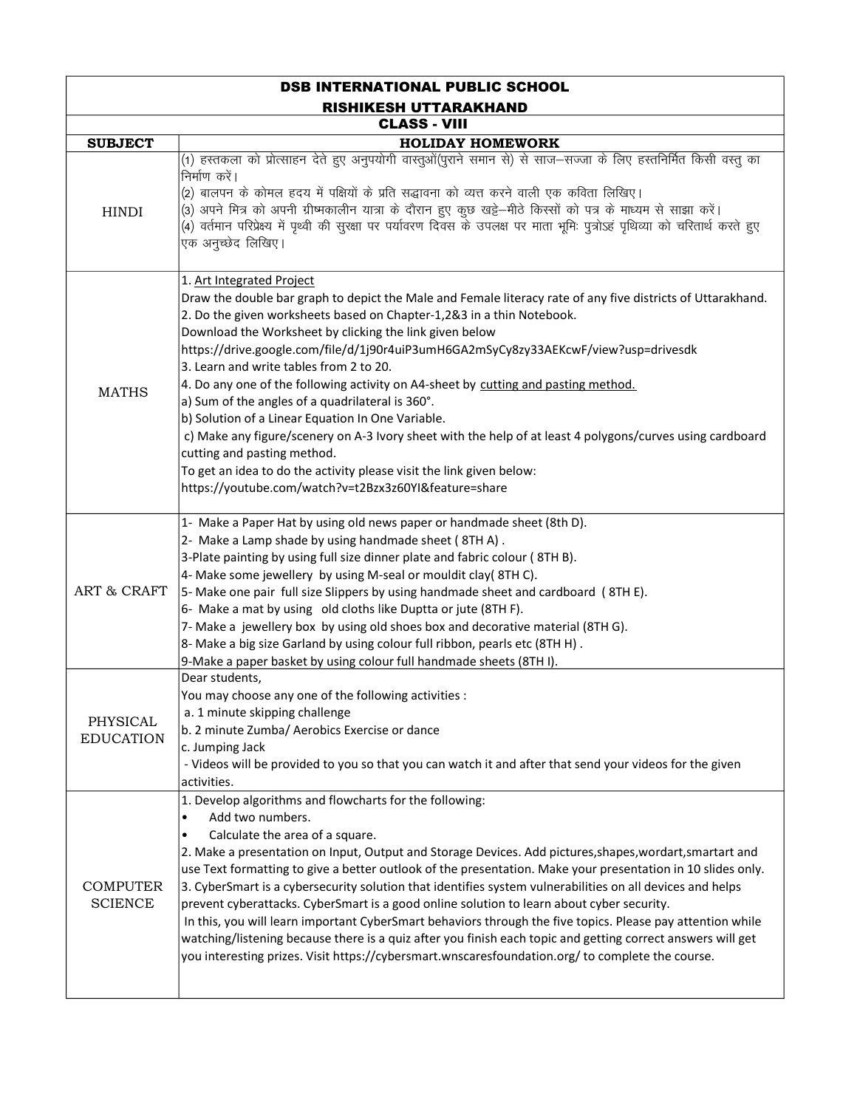| <b>DSB INTERNATIONAL PUBLIC SCHOOL</b> |                                                                                                                                                                                                                                                                                                                                                                                                                                                                                                                                                                                                                                                                                                                                                                                                                                                                                                                |  |
|----------------------------------------|----------------------------------------------------------------------------------------------------------------------------------------------------------------------------------------------------------------------------------------------------------------------------------------------------------------------------------------------------------------------------------------------------------------------------------------------------------------------------------------------------------------------------------------------------------------------------------------------------------------------------------------------------------------------------------------------------------------------------------------------------------------------------------------------------------------------------------------------------------------------------------------------------------------|--|
| <b>RISHIKESH UTTARAKHAND</b>           |                                                                                                                                                                                                                                                                                                                                                                                                                                                                                                                                                                                                                                                                                                                                                                                                                                                                                                                |  |
| <b>CLASS - VIII</b>                    |                                                                                                                                                                                                                                                                                                                                                                                                                                                                                                                                                                                                                                                                                                                                                                                                                                                                                                                |  |
| <b>SUBJECT</b>                         | <b>HOLIDAY HOMEWORK</b>                                                                                                                                                                                                                                                                                                                                                                                                                                                                                                                                                                                                                                                                                                                                                                                                                                                                                        |  |
| <b>HINDI</b>                           | (1) हस्तकला को प्रोत्साहन देते हुए अनुपयोगी वास्तुओं(पुराने समान से) से साज—सज्जा के लिए हस्तनिर्मित किसी वस्तु का<br>निर्माण करें।<br>(2) बालपन के कोमल हदय में पक्षियों के प्रति सद्धावना को व्यत्त करने वाली एक कविता लिखिए।<br>(3) अपने मित्र को अपनी ग्रीष्मकालीन यात्रा के दौरान हुए कुछ खट्टे—मीठे किस्सों को पत्र के माध्यम से साझा करें।<br>(4) वर्तमान परिप्रेक्ष्य में पृथ्वी की सुरक्षा पर पर्यावरण दिवस के उपलक्ष पर माता भूमिः पुत्रोऽहं पृथिव्या को चरितार्थ करते हुए<br>एक अनुच्छेद लिखिए।                                                                                                                                                                                                                                                                                                                                                                                                     |  |
| <b>MATHS</b>                           | 1. Art Integrated Project<br>Draw the double bar graph to depict the Male and Female literacy rate of any five districts of Uttarakhand.<br>2. Do the given worksheets based on Chapter-1,2&3 in a thin Notebook.<br>Download the Worksheet by clicking the link given below<br>https://drive.google.com/file/d/1j90r4uiP3umH6GA2mSyCy8zy33AEKcwF/view?usp=drivesdk<br>3. Learn and write tables from 2 to 20.<br>4. Do any one of the following activity on A4-sheet by cutting and pasting method.<br>a) Sum of the angles of a quadrilateral is 360°.<br>b) Solution of a Linear Equation In One Variable.<br>c) Make any figure/scenery on A-3 Ivory sheet with the help of at least 4 polygons/curves using cardboard<br>cutting and pasting method.<br>To get an idea to do the activity please visit the link given below:<br>https://youtube.com/watch?v=t2Bzx3z60YI&feature=share                     |  |
| <b>ART &amp; CRAFT</b>                 | 1- Make a Paper Hat by using old news paper or handmade sheet (8th D).<br>2- Make a Lamp shade by using handmade sheet (8TH A).<br>3-Plate painting by using full size dinner plate and fabric colour (8TH B).<br>4- Make some jewellery by using M-seal or mouldit clay(8THC).<br>5- Make one pair full size Slippers by using handmade sheet and cardboard (8TH E).<br>6- Make a mat by using old cloths like Duptta or jute (8TH F).<br>7- Make a jewellery box by using old shoes box and decorative material (8TH G).<br>8- Make a big size Garland by using colour full ribbon, pearls etc (8TH H).<br>9-Make a paper basket by using colour full handmade sheets (8TH I).<br>Dear students,                                                                                                                                                                                                             |  |
| PHYSICAL<br><b>EDUCATION</b>           | You may choose any one of the following activities :<br>a. 1 minute skipping challenge<br>b. 2 minute Zumba/ Aerobics Exercise or dance<br>c. Jumping Jack<br>- Videos will be provided to you so that you can watch it and after that send your videos for the given<br>activities.                                                                                                                                                                                                                                                                                                                                                                                                                                                                                                                                                                                                                           |  |
| <b>COMPUTER</b><br><b>SCIENCE</b>      | 1. Develop algorithms and flowcharts for the following:<br>Add two numbers.<br>$\bullet$<br>Calculate the area of a square.<br>$\bullet$<br>2. Make a presentation on Input, Output and Storage Devices. Add pictures, shapes, wordart, smartart and<br>use Text formatting to give a better outlook of the presentation. Make your presentation in 10 slides only.<br>3. CyberSmart is a cybersecurity solution that identifies system vulnerabilities on all devices and helps<br>prevent cyberattacks. CyberSmart is a good online solution to learn about cyber security.<br>In this, you will learn important CyberSmart behaviors through the five topics. Please pay attention while<br>watching/listening because there is a quiz after you finish each topic and getting correct answers will get<br>you interesting prizes. Visit https://cybersmart.wnscaresfoundation.org/ to complete the course. |  |